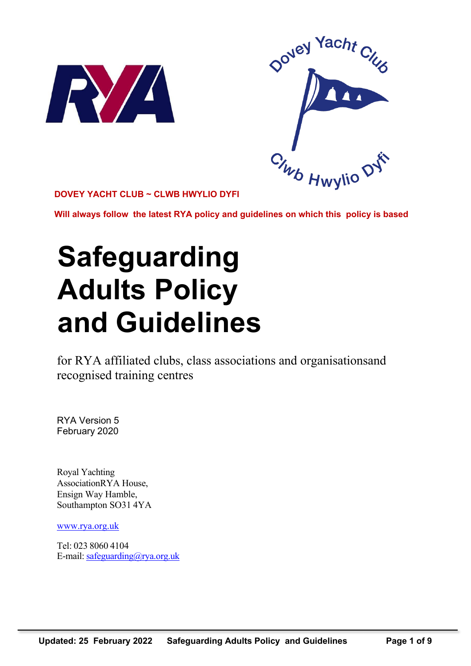



**DOVEY YACHT CLUB ~ CLWB HWYLIO DYFI**

**Will always follow the latest RYA policy and guidelines on which this policy is based**

# **Safeguarding Adults Policy and Guidelines**

for RYA affiliated clubs, class associations and organisationsand recognised training centres

RYA Version 5 February 2020

Royal Yachting AssociationRYA House, Ensign Way Hamble, Southampton SO31 4YA

www.rya.org.uk

Tel: 023 8060 4104 E-mail: safeguarding@rya.org.uk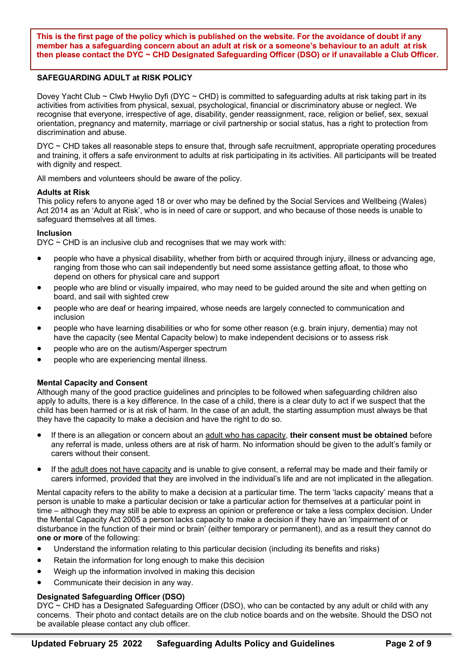**This is the first page of the policy which is published on the website. For the avoidance of doubt if any member has a safeguarding concern about an adult at risk or a someone's behaviour to an adult at risk then please contact the DYC ~ CHD Designated Safeguarding Officer (DSO) or if unavailable a Club Officer.** 

## **SAFEGUARDING ADULT at RISK POLICY**

Dovey Yacht Club ~ Clwb Hwylio Dyfi (DYC ~ CHD) is committed to safeguarding adults at risk taking part in its activities from activities from physical, sexual, psychological, financial or discriminatory abuse or neglect. We recognise that everyone, irrespective of age, disability, gender reassignment, race, religion or belief, sex, sexual orientation, pregnancy and maternity, marriage or civil partnership or social status, has a right to protection from discrimination and abuse.

DYC ~ CHD takes all reasonable steps to ensure that, through safe recruitment, appropriate operating procedures and training, it offers a safe environment to adults at risk participating in its activities. All participants will be treated with dignity and respect.

All members and volunteers should be aware of the policy.

#### **Adults at Risk**

This policy refers to anyone aged 18 or over who may be defined by the Social Services and Wellbeing (Wales) Act 2014 as an 'Adult at Risk', who is in need of care or support, and who because of those needs is unable to safeguard themselves at all times.

#### **Inclusion**

 $Dyc \sim$  CHD is an inclusive club and recognises that we may work with:

- people who have a physical disability, whether from birth or acquired through injury, illness or advancing age, ranging from those who can sail independently but need some assistance getting afloat, to those who depend on others for physical care and support
- people who are blind or visually impaired, who may need to be guided around the site and when getting on board, and sail with sighted crew
- people who are deaf or hearing impaired, whose needs are largely connected to communication and inclusion
- people who have learning disabilities or who for some other reason (e.g. brain injury, dementia) may not have the capacity (see Mental Capacity below) to make independent decisions or to assess risk
- people who are on the autism/Asperger spectrum
- people who are experiencing mental illness.

## **Mental Capacity and Consent**

Although many of the good practice guidelines and principles to be followed when safeguarding children also apply to adults, there is a key difference. In the case of a child, there is a clear duty to act if we suspect that the child has been harmed or is at risk of harm. In the case of an adult, the starting assumption must always be that they have the capacity to make a decision and have the right to do so.

- If there is an allegation or concern about an adult who has capacity, **their consent must be obtained** before any referral is made, unless others are at risk of harm. No information should be given to the adult's family or carers without their consent.
- If the adult does not have capacity and is unable to give consent, a referral may be made and their family or carers informed, provided that they are involved in the individual's life and are not implicated in the allegation.

Mental capacity refers to the ability to make a decision at a particular time. The term 'lacks capacity' means that a person is unable to make a particular decision or take a particular action for themselves at a particular point in time – although they may still be able to express an opinion or preference or take a less complex decision. Under the Mental Capacity Act 2005 a person lacks capacity to make a decision if they have an 'impairment of or disturbance in the function of their mind or brain' (either temporary or permanent), and as a result they cannot do **one or more** of the following:

- Understand the information relating to this particular decision (including its benefits and risks)
- Retain the information for long enough to make this decision
- Weigh up the information involved in making this decision
- Communicate their decision in any way.

## **Designated Safeguarding Officer (DSO)**

DYC ~ CHD has a Designated Safeguarding Officer (DSO), who can be contacted by any adult or child with any concerns. Their photo and contact details are on the club notice boards and on the website. Should the DSO not be available please contact any club officer.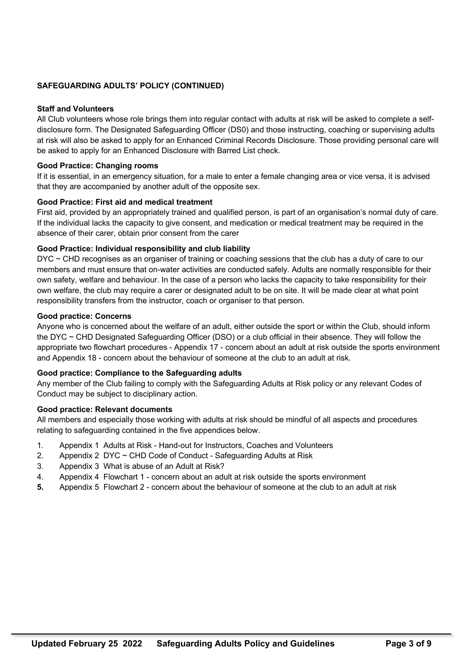# **SAFEGUARDING ADULTS' POLICY (CONTINUED)**

# **Staff and Volunteers**

All Club volunteers whose role brings them into regular contact with adults at risk will be asked to complete a selfdisclosure form. The Designated Safeguarding Officer (DS0) and those instructing, coaching or supervising adults at risk will also be asked to apply for an Enhanced Criminal Records Disclosure. Those providing personal care will be asked to apply for an Enhanced Disclosure with Barred List check.

## **Good Practice: Changing rooms**

If it is essential, in an emergency situation, for a male to enter a female changing area or vice versa, it is advised that they are accompanied by another adult of the opposite sex.

# **Good Practice: First aid and medical treatment**

First aid, provided by an appropriately trained and qualified person, is part of an organisation's normal duty of care. If the individual lacks the capacity to give consent, and medication or medical treatment may be required in the absence of their carer, obtain prior consent from the carer

# **Good Practice: Individual responsibility and club liability**

DYC ~ CHD recognises as an organiser of training or coaching sessions that the club has a duty of care to our members and must ensure that on-water activities are conducted safely. Adults are normally responsible for their own safety, welfare and behaviour. In the case of a person who lacks the capacity to take responsibility for their own welfare, the club may require a carer or designated adult to be on site. It will be made clear at what point responsibility transfers from the instructor, coach or organiser to that person.

## **Good practice: Concerns**

Anyone who is concerned about the welfare of an adult, either outside the sport or within the Club, should inform the DYC ~ CHD Designated Safeguarding Officer (DSO) or a club official in their absence. They will follow the appropriate two flowchart procedures - Appendix 17 - concern about an adult at risk outside the sports environment and Appendix 18 - concern about the behaviour of someone at the club to an adult at risk.

## **Good practice: Compliance to the Safeguarding adults**

Any member of the Club failing to comply with the Safeguarding Adults at Risk policy or any relevant Codes of Conduct may be subject to disciplinary action.

## **Good practice: Relevant documents**

All members and especially those working with adults at risk should be mindful of all aspects and procedures relating to safeguarding contained in the five appendices below.

- 1. Appendix 1 Adults at Risk Hand-out for Instructors, Coaches and Volunteers
- 2. Appendix 2 DYC ~ CHD Code of Conduct Safeguarding Adults at Risk
- 3. Appendix 3 What is abuse of an Adult at Risk?
- 4. Appendix 4 Flowchart 1 concern about an adult at risk outside the sports environment
- **5.** Appendix 5 Flowchart 2 concern about the behaviour of someone at the club to an adult at risk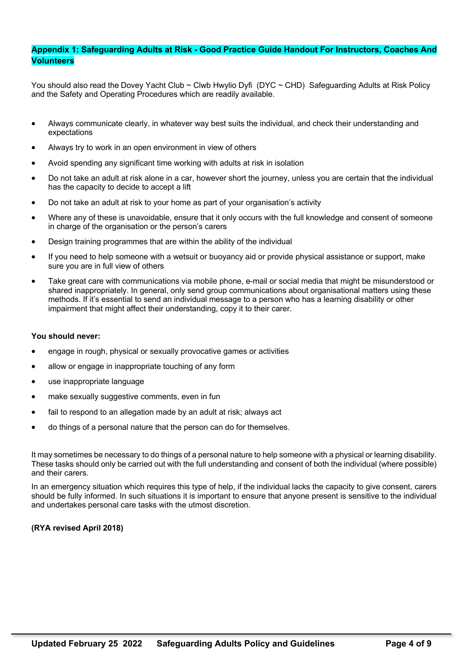# **Appendix 1: Safeguarding Adults at Risk - Good Practice Guide Handout For Instructors, Coaches And Volunteers**

You should also read the Dovey Yacht Club ~ Clwb Hwylio Dyfi (DYC ~ CHD) Safeguarding Adults at Risk Policy and the Safety and Operating Procedures which are readily available.

- Always communicate clearly, in whatever way best suits the individual, and check their understanding and expectations
- Always try to work in an open environment in view of others
- Avoid spending any significant time working with adults at risk in isolation
- Do not take an adult at risk alone in a car, however short the journey, unless you are certain that the individual has the capacity to decide to accept a lift
- Do not take an adult at risk to your home as part of your organisation's activity
- Where any of these is unavoidable, ensure that it only occurs with the full knowledge and consent of someone in charge of the organisation or the person's carers
- Design training programmes that are within the ability of the individual
- If you need to help someone with a wetsuit or buoyancy aid or provide physical assistance or support, make sure you are in full view of others
- Take great care with communications via mobile phone, e-mail or social media that might be misunderstood or shared inappropriately. In general, only send group communications about organisational matters using these methods. If it's essential to send an individual message to a person who has a learning disability or other impairment that might affect their understanding, copy it to their carer.

#### **You should never:**

- engage in rough, physical or sexually provocative games or activities
- allow or engage in inappropriate touching of any form
- use inappropriate language
- make sexually suggestive comments, even in fun
- fail to respond to an allegation made by an adult at risk; always act
- do things of a personal nature that the person can do for themselves.

It may sometimes be necessary to do things of a personal nature to help someone with a physical or learning disability. These tasks should only be carried out with the full understanding and consent of both the individual (where possible) and their carers.

In an emergency situation which requires this type of help, if the individual lacks the capacity to give consent, carers should be fully informed. In such situations it is important to ensure that anyone present is sensitive to the individual and undertakes personal care tasks with the utmost discretion.

## **(RYA revised April 2018)**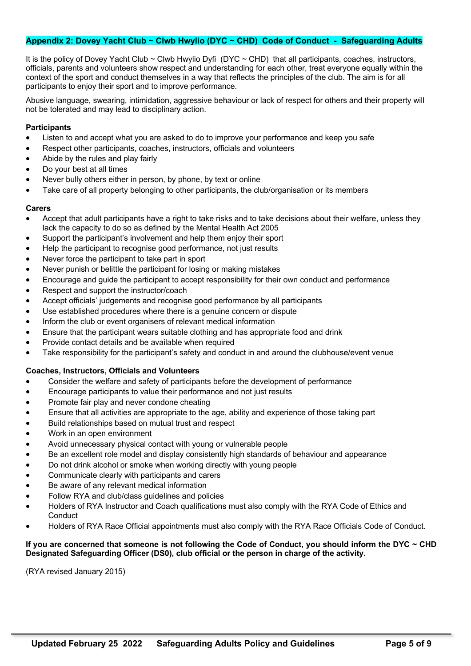#### **Appendix 2: Dovey Yacht Club ~ Clwb Hwylio (DYC ~ CHD) Code of Conduct - Safeguarding Adults**

It is the policy of Dovey Yacht Club ~ Clwb Hwylio Dyfi (DYC ~ CHD) that all participants, coaches, instructors, officials, parents and volunteers show respect and understanding for each other, treat everyone equally within the context of the sport and conduct themselves in a way that reflects the principles of the club. The aim is for all participants to enjoy their sport and to improve performance.

Abusive language, swearing, intimidation, aggressive behaviour or lack of respect for others and their property will not be tolerated and may lead to disciplinary action.

#### **Participants**

- Listen to and accept what you are asked to do to improve your performance and keep you safe
- Respect other participants, coaches, instructors, officials and volunteers
- Abide by the rules and play fairly
- Do your best at all times
- Never bully others either in person, by phone, by text or online
- Take care of all property belonging to other participants, the club/organisation or its members

#### **Carers**

- Accept that adult participants have a right to take risks and to take decisions about their welfare, unless they lack the capacity to do so as defined by the Mental Health Act 2005
- Support the participant's involvement and help them enjoy their sport
- Help the participant to recognise good performance, not just results
- Never force the participant to take part in sport
- Never punish or belittle the participant for losing or making mistakes
- Encourage and guide the participant to accept responsibility for their own conduct and performance
- Respect and support the instructor/coach
- Accept officials' judgements and recognise good performance by all participants
- Use established procedures where there is a genuine concern or dispute
- Inform the club or event organisers of relevant medical information
- Ensure that the participant wears suitable clothing and has appropriate food and drink
- Provide contact details and be available when required
- Take responsibility for the participant's safety and conduct in and around the clubhouse/event venue

#### **Coaches, Instructors, Officials and Volunteers**

- Consider the welfare and safety of participants before the development of performance
- Encourage participants to value their performance and not just results
- Promote fair play and never condone cheating
- Ensure that all activities are appropriate to the age, ability and experience of those taking part
- Build relationships based on mutual trust and respect
- Work in an open environment
- Avoid unnecessary physical contact with young or vulnerable people
- Be an excellent role model and display consistently high standards of behaviour and appearance
- Do not drink alcohol or smoke when working directly with young people
- Communicate clearly with participants and carers
- Be aware of any relevant medical information
- Follow RYA and club/class guidelines and policies
- Holders of RYA Instructor and Coach qualifications must also comply with the RYA Code of Ethics and **Conduct**
- Holders of RYA Race Official appointments must also comply with the RYA Race Officials Code of Conduct.

## **If you are concerned that someone is not following the Code of Conduct, you should inform the DYC ~ CHD Designated Safeguarding Officer (DS0), club official or the person in charge of the activity.**

(RYA revised January 2015)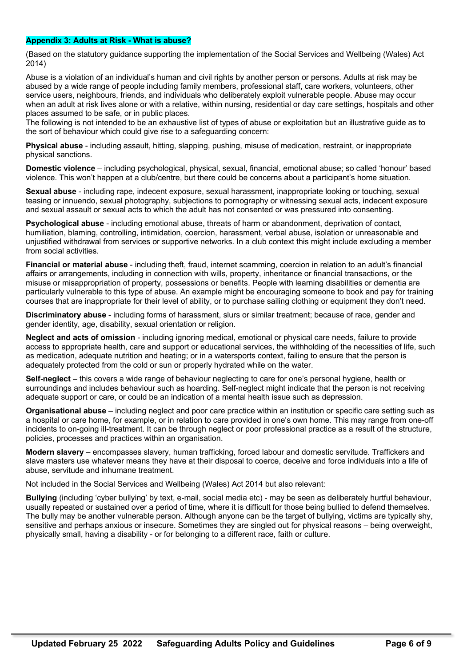## **Appendix 3: Adults at Risk - What is abuse?**

(Based on the statutory guidance supporting the implementation of the Social Services and Wellbeing (Wales) Act 2014)

Abuse is a violation of an individual's human and civil rights by another person or persons. Adults at risk may be abused by a wide range of people including family members, professional staff, care workers, volunteers, other service users, neighbours, friends, and individuals who deliberately exploit vulnerable people. Abuse may occur when an adult at risk lives alone or with a relative, within nursing, residential or day care settings, hospitals and other places assumed to be safe, or in public places.

The following is not intended to be an exhaustive list of types of abuse or exploitation but an illustrative guide as to the sort of behaviour which could give rise to a safeguarding concern:

**Physical abuse** - including assault, hitting, slapping, pushing, misuse of medication, restraint, or inappropriate physical sanctions.

**Domestic violence** – including psychological, physical, sexual, financial, emotional abuse; so called 'honour' based violence. This won't happen at a club/centre, but there could be concerns about a participant's home situation.

**Sexual abuse** - including rape, indecent exposure, sexual harassment, inappropriate looking or touching, sexual teasing or innuendo, sexual photography, subjections to pornography or witnessing sexual acts, indecent exposure and sexual assault or sexual acts to which the adult has not consented or was pressured into consenting.

**Psychological abuse** - including emotional abuse, threats of harm or abandonment, deprivation of contact, humiliation, blaming, controlling, intimidation, coercion, harassment, verbal abuse, isolation or unreasonable and unjustified withdrawal from services or supportive networks. In a club context this might include excluding a member from social activities.

**Financial or material abuse** - including theft, fraud, internet scamming, coercion in relation to an adult's financial affairs or arrangements, including in connection with wills, property, inheritance or financial transactions, or the misuse or misappropriation of property, possessions or benefits. People with learning disabilities or dementia are particularly vulnerable to this type of abuse. An example might be encouraging someone to book and pay for training courses that are inappropriate for their level of ability, or to purchase sailing clothing or equipment they don't need.

**Discriminatory abuse** - including forms of harassment, slurs or similar treatment; because of race, gender and gender identity, age, disability, sexual orientation or religion.

**Neglect and acts of omission** - including ignoring medical, emotional or physical care needs, failure to provide access to appropriate health, care and support or educational services, the withholding of the necessities of life, such as medication, adequate nutrition and heating; or in a watersports context, failing to ensure that the person is adequately protected from the cold or sun or properly hydrated while on the water.

**Self-neglect** – this covers a wide range of behaviour neglecting to care for one's personal hygiene, health or surroundings and includes behaviour such as hoarding. Self-neglect might indicate that the person is not receiving adequate support or care, or could be an indication of a mental health issue such as depression.

**Organisational abuse** – including neglect and poor care practice within an institution or specific care setting such as a hospital or care home, for example, or in relation to care provided in one's own home. This may range from one-off incidents to on-going ill-treatment. It can be through neglect or poor professional practice as a result of the structure, policies, processes and practices within an organisation.

**Modern slavery** – encompasses slavery, human trafficking, forced labour and domestic servitude. Traffickers and slave masters use whatever means they have at their disposal to coerce, deceive and force individuals into a life of abuse, servitude and inhumane treatment.

Not included in the Social Services and Wellbeing (Wales) Act 2014 but also relevant:

**Bullying** (including 'cyber bullying' by text, e-mail, social media etc) - may be seen as deliberately hurtful behaviour, usually repeated or sustained over a period of time, where it is difficult for those being bullied to defend themselves. The bully may be another vulnerable person. Although anyone can be the target of bullying, victims are typically shy, sensitive and perhaps anxious or insecure. Sometimes they are singled out for physical reasons – being overweight, physically small, having a disability - or for belonging to a different race, faith or culture.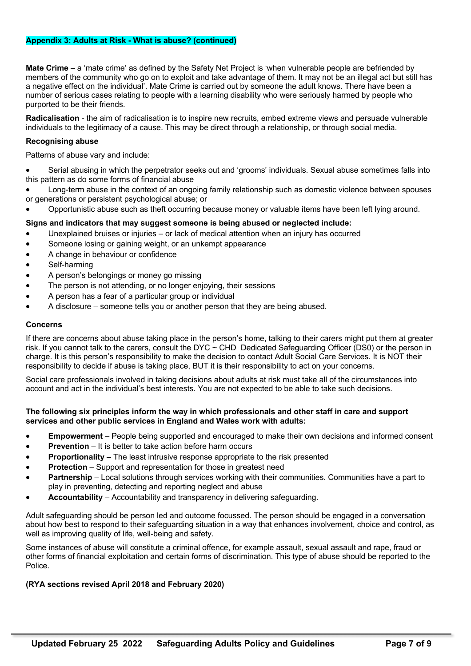## **Appendix 3: Adults at Risk - What is abuse? (continued)**

**Mate Crime** – a 'mate crime' as defined by the Safety Net Project is 'when vulnerable people are befriended by members of the community who go on to exploit and take advantage of them. It may not be an illegal act but still has a negative effect on the individual'. Mate Crime is carried out by someone the adult knows. There have been a number of serious cases relating to people with a learning disability who were seriously harmed by people who purported to be their friends.

**Radicalisation** - the aim of radicalisation is to inspire new recruits, embed extreme views and persuade vulnerable individuals to the legitimacy of a cause. This may be direct through a relationship, or through social media.

#### **Recognising abuse**

Patterns of abuse vary and include:

- Serial abusing in which the perpetrator seeks out and 'grooms' individuals. Sexual abuse sometimes falls into this pattern as do some forms of financial abuse
- Long-term abuse in the context of an ongoing family relationship such as domestic violence between spouses or generations or persistent psychological abuse; or
- Opportunistic abuse such as theft occurring because money or valuable items have been left lying around.

## **Signs and indicators that may suggest someone is being abused or neglected include:**

- Unexplained bruises or injuries or lack of medical attention when an injury has occurred
- Someone losing or gaining weight, or an unkempt appearance
- A change in behaviour or confidence
- Self-harming
- A person's belongings or money go missing
- The person is not attending, or no longer enjoying, their sessions
- A person has a fear of a particular group or individual
- A disclosure someone tells you or another person that they are being abused.

#### **Concerns**

If there are concerns about abuse taking place in the person's home, talking to their carers might put them at greater risk. If you cannot talk to the carers, consult the DYC ~ CHD Dedicated Safeguarding Officer (DS0) or the person in charge. It is this person's responsibility to make the decision to contact Adult Social Care Services. It is NOT their responsibility to decide if abuse is taking place, BUT it is their responsibility to act on your concerns.

Social care professionals involved in taking decisions about adults at risk must take all of the circumstances into account and act in the individual's best interests. You are not expected to be able to take such decisions.

#### **The following six principles inform the way in which professionals and other staff in care and support services and other public services in England and Wales work with adults:**

- **Empowerment**  People being supported and encouraged to make their own decisions and informed consent
- **Prevention** It is better to take action before harm occurs
- **Proportionality**  The least intrusive response appropriate to the risk presented
- **Protection** Support and representation for those in greatest need
- **Partnership**  Local solutions through services working with their communities. Communities have a part to play in preventing, detecting and reporting neglect and abuse
- **Accountability**  Accountability and transparency in delivering safeguarding.

Adult safeguarding should be person led and outcome focussed. The person should be engaged in a conversation about how best to respond to their safeguarding situation in a way that enhances involvement, choice and control, as well as improving quality of life, well-being and safety.

Some instances of abuse will constitute a criminal offence, for example assault, sexual assault and rape, fraud or other forms of financial exploitation and certain forms of discrimination. This type of abuse should be reported to the Police.

#### **(RYA sections revised April 2018 and February 2020)**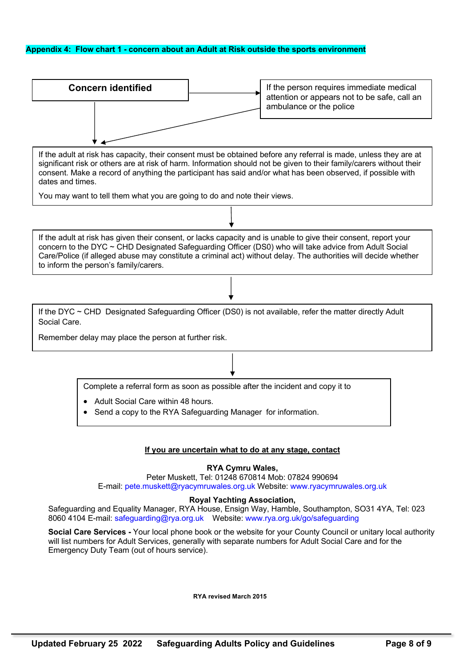## **Appendix 4: Flow chart 1 - concern about an Adult at Risk outside the sports environment**



#### **If you are uncertain what to do at any stage, contact**

#### **RYA Cymru Wales,**

Peter Muskett, Tel: 01248 670814 Mob: 07824 990694 E-mail: pete.muskett@ryacymruwales.org.uk Website: www.ryacymruwales.org.uk

#### **Royal Yachting Association,**

Safeguarding and Equality Manager, RYA House, Ensign Way, Hamble, Southampton, SO31 4YA, Tel: 023 8060 4104 E-mail: safeguarding@rya.org.uk Website: www.rya.org.uk/go/safeguarding

**Social Care Services -** Your local phone book or the website for your County Council or unitary local authority will list numbers for Adult Services, generally with separate numbers for Adult Social Care and for the Emergency Duty Team (out of hours service).

**RYA revised March 2015**